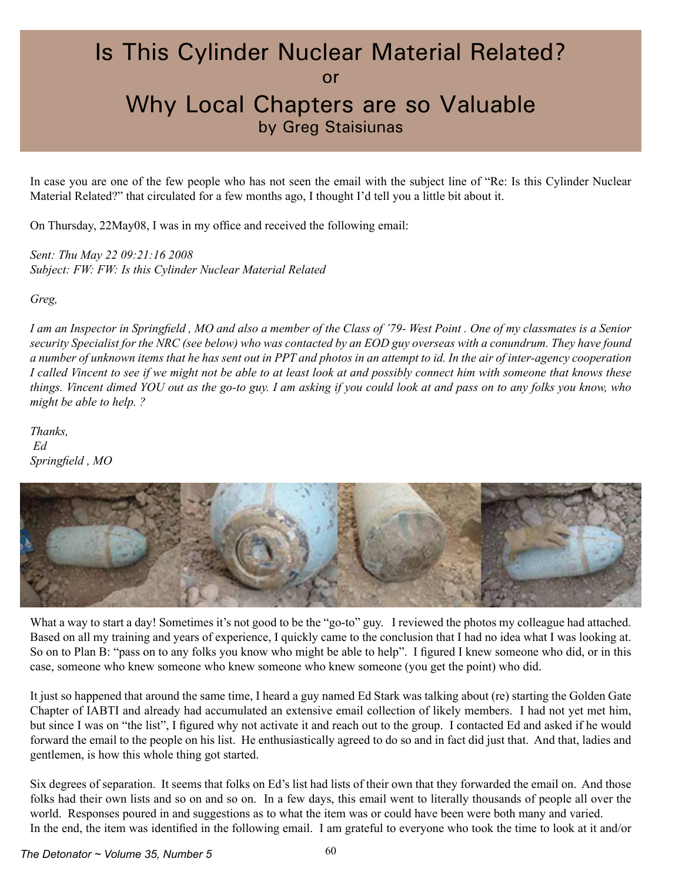## Is This Cylinder Nuclear Material Related? or Why Local Chapters are so Valuable by Greg Staisiunas

In case you are one of the few people who has not seen the email with the subject line of "Re: Is this Cylinder Nuclear Material Related?" that circulated for a few months ago, I thought I'd tell you a little bit about it.

On Thursday, 22May08, I was in my office and received the following email:

*Sent: Thu May 22 09:21:16 2008 Subject: FW: FW: Is this Cylinder Nuclear Material Related* 

*Greg,*

*I am an Inspector in Springfield , MO and also a member of the Class of '79- West Point . One of my classmates is a Senior security Specialist for the NRC (see below) who was contacted by an EOD guy overseas with a conundrum. They have found a number of unknown items that he has sent out in PPT and photos in an attempt to id. In the air of inter-agency cooperation I called Vincent to see if we might not be able to at least look at and possibly connect him with someone that knows these things. Vincent dimed YOU out as the go-to guy. I am asking if you could look at and pass on to any folks you know, who might be able to help. ?*

*Thanks, Ed Springfield , MO* 



What a way to start a day! Sometimes it's not good to be the "go-to" guy. I reviewed the photos my colleague had attached. Based on all my training and years of experience, I quickly came to the conclusion that I had no idea what I was looking at. So on to Plan B: "pass on to any folks you know who might be able to help". I figured I knew someone who did, or in this case, someone who knew someone who knew someone who knew someone (you get the point) who did.

It just so happened that around the same time, I heard a guy named Ed Stark was talking about (re) starting the Golden Gate Chapter of IABTI and already had accumulated an extensive email collection of likely members. I had not yet met him, but since I was on "the list", I figured why not activate it and reach out to the group. I contacted Ed and asked if he would forward the email to the people on his list. He enthusiastically agreed to do so and in fact did just that. And that, ladies and gentlemen, is how this whole thing got started.

Six degrees of separation. It seems that folks on Ed's list had lists of their own that they forwarded the email on. And those folks had their own lists and so on and so on. In a few days, this email went to literally thousands of people all over the world. Responses poured in and suggestions as to what the item was or could have been were both many and varied. In the end, the item was identified in the following email. I am grateful to everyone who took the time to look at it and/or